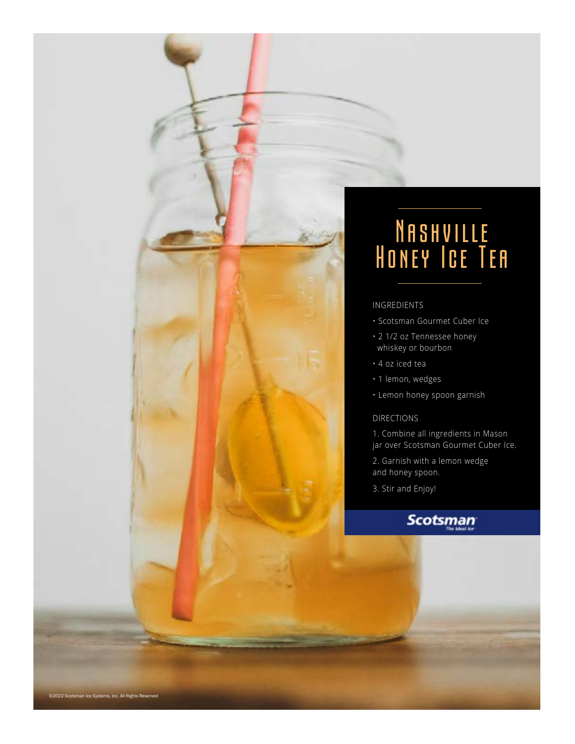

- Scotsman Gourmet Cuber Ice
- 2 1/2 oz Tennessee honey whiskey or bourbon
- 4 oz iced tea
- 1 lemon, wedges
- Lemon honey spoon garnish

#### DIRECTIONS

1. Combine all ingredients in Mason jar over Scotsman Gourmet Cuber Ice.

2. Garnish with a lemon wedge and honey spoon.

3. Stir and Enjoy!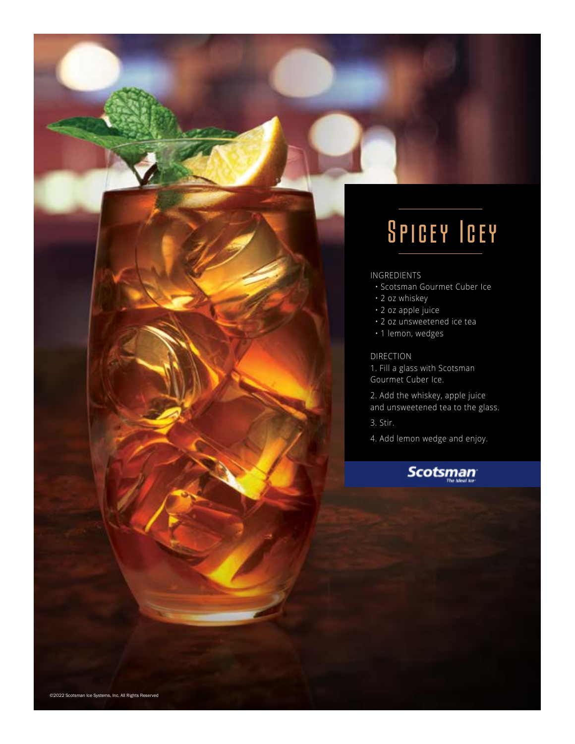# Spicey Icey

### INGREDIENTS

- Scotsman Gourmet Cuber Ice
- 2 oz whiskey
- 2 oz apple juice
- 2 oz unsweetened ice tea
- 1 lemon, wedges

#### DIRECTION

1. Fill a glass with Scotsman Gourmet Cuber Ice.

2. Add the whiskey, apple juice and unsweetened tea to the glass.

3. Stir.

4. Add lemon wedge and enjoy.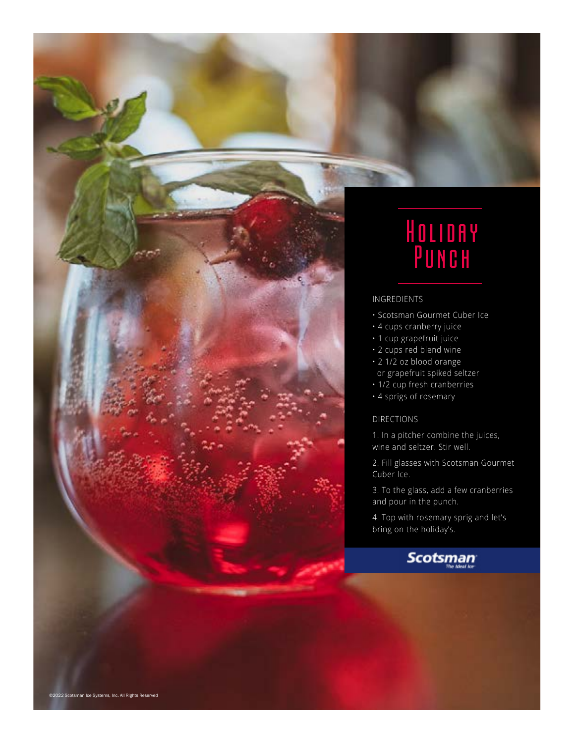

## Holiday Punch

### INGREDIENTS

- Scotsman Gourmet Cuber Ice
- 4 cups cranberry juice
- 1 cup grapefruit juice
- 2 cups red blend wine
- 2 1/2 oz blood orange
- or grapefruit spiked seltzer
- 1/2 cup fresh cranberries
- 4 sprigs of rosemary

#### DIRECTIONS

1. In a pitcher combine the juices, wine and seltzer. Stir well.

2. Fill glasses with Scotsman Gourmet Cuber Ice.

3. To the glass, add a few cranberries and pour in the punch.

4. Top with rosemary sprig and let's bring on the holiday's.

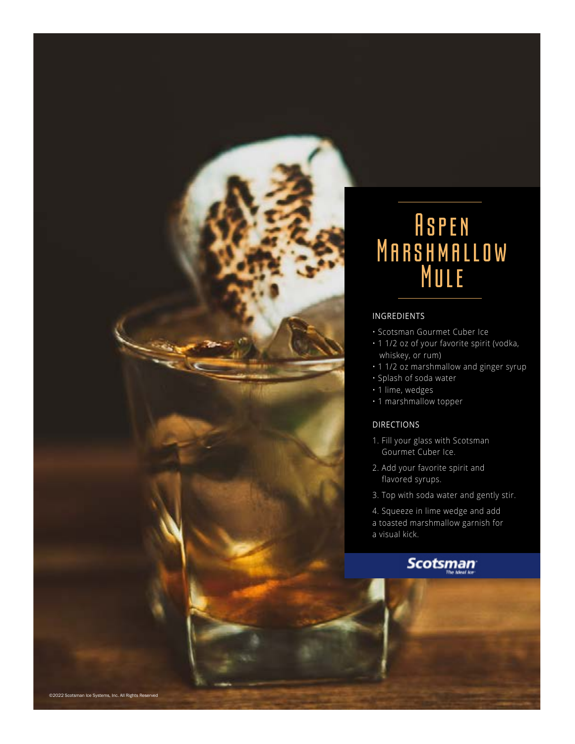

## Aspen Marshmallow Mule

### INGREDIENTS

- Scotsman Gourmet Cuber Ice
- 1 1/2 oz of your favorite spirit (vodka, whiskey, or rum)
- 1 1/2 oz marshmallow and ginger syrup
- Splash of soda water
- 1 lime, wedges
- 1 marshmallow topper

### DIRECTIONS

- 1. Fill your glass with Scotsman Gourmet Cuber Ice.
- 2. Add your favorite spirit and flavored syrups.
- 3. Top with soda water and gently stir.

4. Squeeze in lime wedge and add a toasted marshmallow garnish for a visual kick.

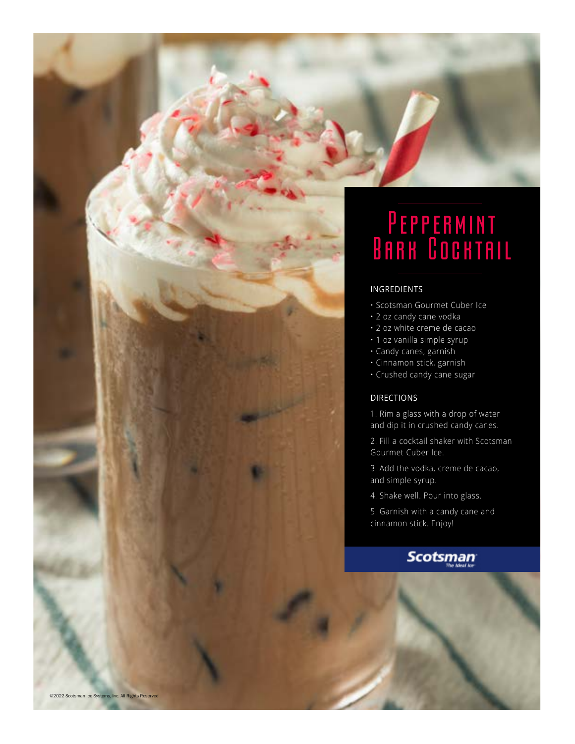## **PEPPERMINT** Bark Cochtail

### INGREDIENTS

- Scotsman Gourmet Cuber Ice
- 2 oz candy cane vodka
- 2 oz white creme de cacao
- 1 oz vanilla simple syrup
- Candy canes, garnish
- Cinnamon stick, garnish
- Crushed candy cane sugar

#### DIRECTIONS

1. Rim a glass with a drop of water and dip it in crushed candy canes.

2. Fill a cocktail shaker with Scotsman Gourmet Cuber Ice.

3. Add the vodka, creme de cacao, and simple syrup.

4. Shake well. Pour into glass.

5. Garnish with a candy cane and cinnamon stick. Enjoy!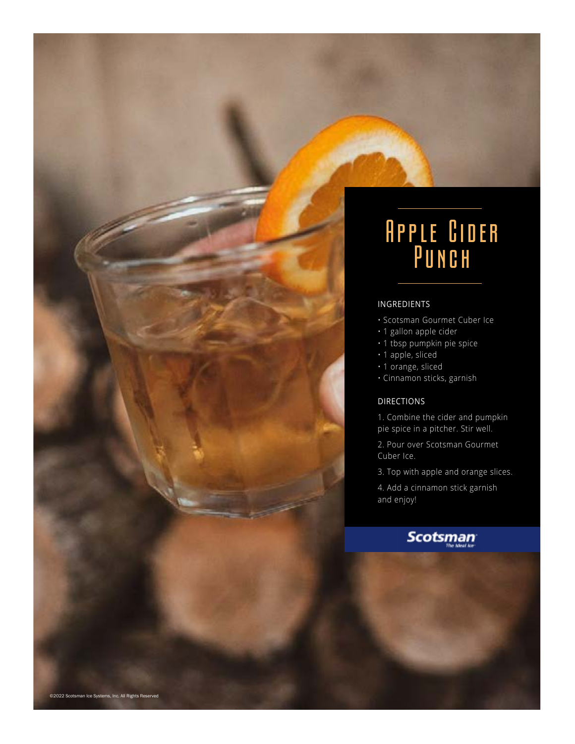

- Scotsman Gourmet Cuber Ice
- 1 gallon apple cider
- 1 tbsp pumpkin pie spice
- 1 apple, sliced
- 1 orange, sliced
- Cinnamon sticks, garnish

### DIRECTIONS

- 1. Combine the cider and pumpkin pie spice in a pitcher. Stir well.
- 2. Pour over Scotsman Gourmet Cuber Ice.
- 3. Top with apple and orange slices.
- 4. Add a cinnamon stick garnish and enjoy!

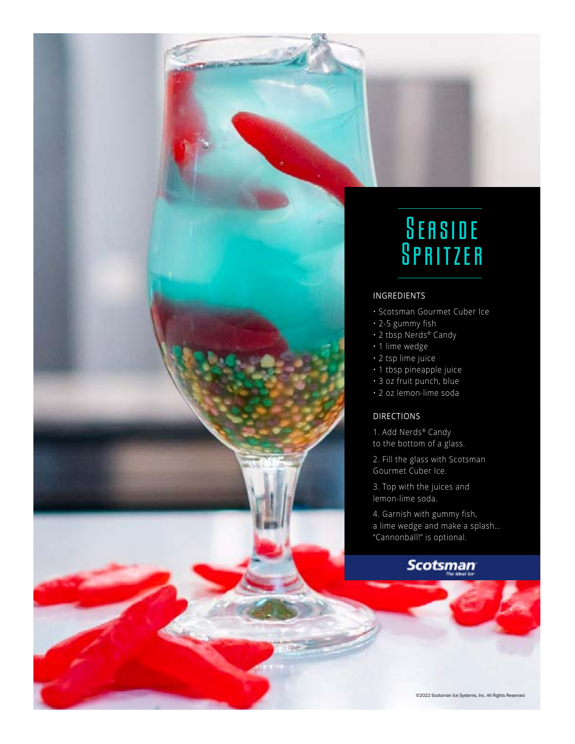

- Scotsman Gourmet Cuber Ice
- 2-5 gummy fish
- 2 tbsp Nerds® Candy
- 1 lime wedge
- 2 tsp lime juice
- 1 tbsp pineapple juice
- 3 oz fruit punch, blue
- 2 oz lemon-lime soda

### DIRECTIONS

1. Add Nerds® Candy to the bottom of a glass.

2. Fill the glass with Scotsman Gourmet Cuber Ice.

3. Top with the juices and lemon-lime soda.

4. Garnish with gummy fish, a lime wedge and make a splash… "Cannonball!" is optional.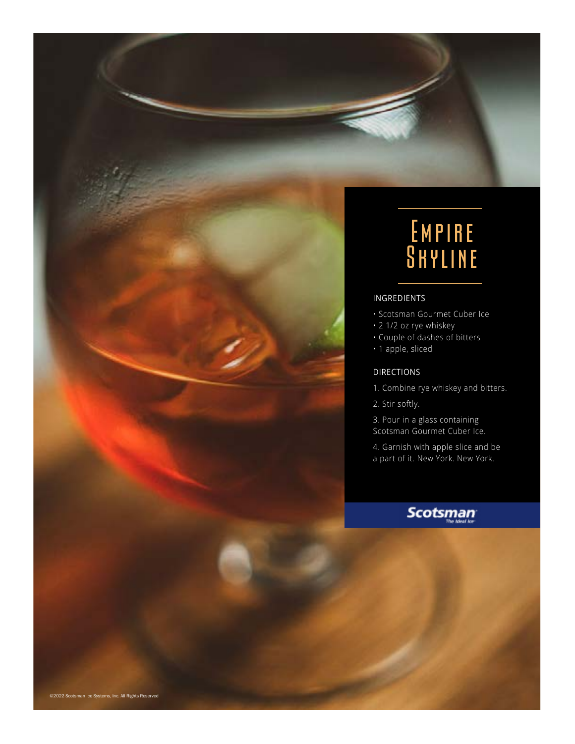## Empire **SHYLINE**

### INGREDIENTS

- Scotsman Gourmet Cuber Ice
- 2 1/2 oz rye whiskey
- Couple of dashes of bitters
- 1 apple, sliced

### DIRECTIONS

- 1. Combine rye whiskey and bitters.
- 2. Stir softly.

3. Pour in a glass containing Scotsman Gourmet Cuber Ice.

4. Garnish with apple slice and be a part of it. New York. New York.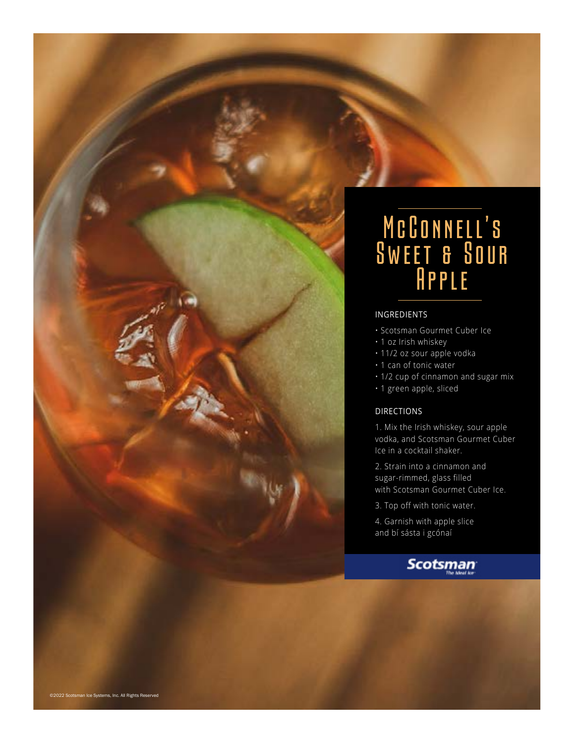

- Scotsman Gourmet Cuber Ice
- 1 oz Irish whiskey
- 11/2 oz sour apple vodka
- 1 can of tonic water

• 1/2 cup of cinnamon and sugar mix

• 1 green apple, sliced

### DIRECTIONS

1. Mix the Irish whiskey, sour apple vodka, and Scotsman Gourmet Cuber Ice in a cocktail shaker.

2. Strain into a cinnamon and sugar-rimmed, glass filled with Scotsman Gourmet Cuber Ice.

3. Top off with tonic water.

4. Garnish with apple slice and bí sásta i gcónaí

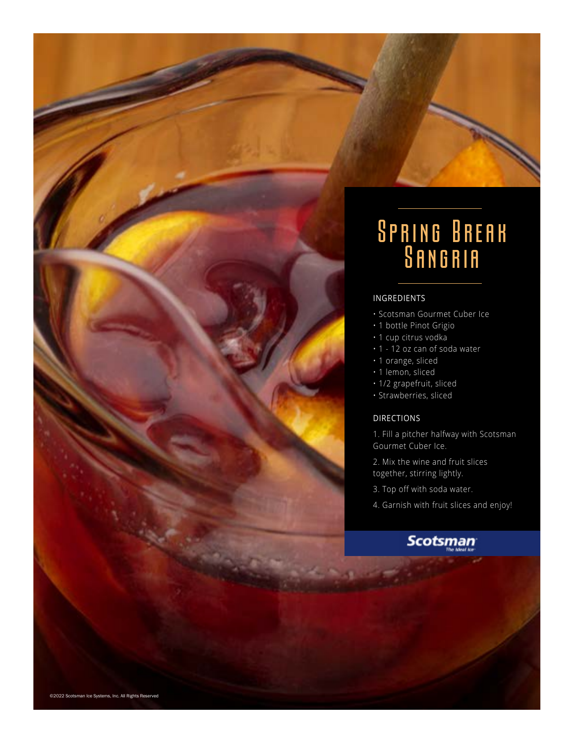

- Scotsman Gourmet Cuber Ice
- 1 bottle Pinot Grigio
- 1 cup citrus vodka
- 1 12 oz can of soda water
- 1 orange, sliced
- 1 lemon, sliced
- 1/2 grapefruit, sliced
- Strawberries, sliced

### DIRECTIONS

1. Fill a pitcher halfway with Scotsman Gourmet Cuber Ice.

2. Mix the wine and fruit slices together, stirring lightly.

- 3. Top off with soda water.
- 4. Garnish with fruit slices and enjoy!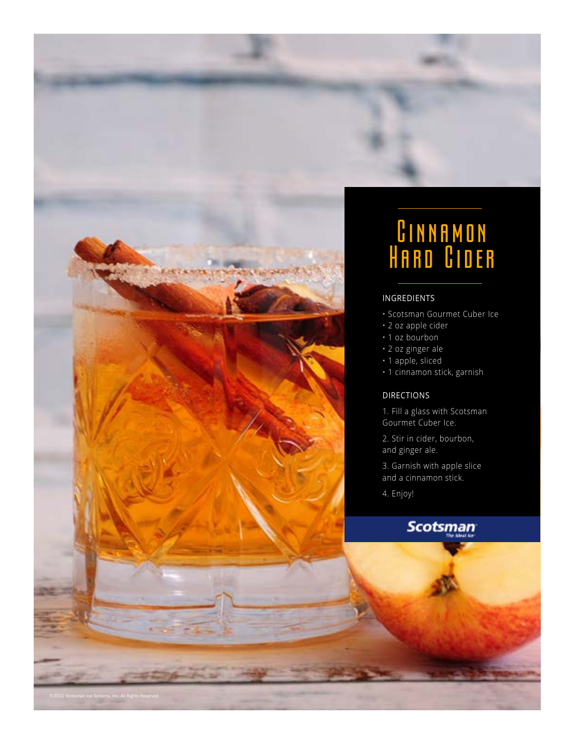

## CINNAMON Hard Cider

### INGREDIENTS

- Scotsman Gourmet Cuber Ice
- 2 oz apple cider
- 1 oz bourbon
- 2 oz ginger ale
- 1 apple, sliced
- 1 cinnamon stick, garnish

### DIRECTIONS

1. Fill a glass with Scotsman Gourmet Cuber Ice.

2. Stir in cider, bourbon, and ginger ale.

3. Garnish with apple slice and a cinnamon stick.

4. Enjoy!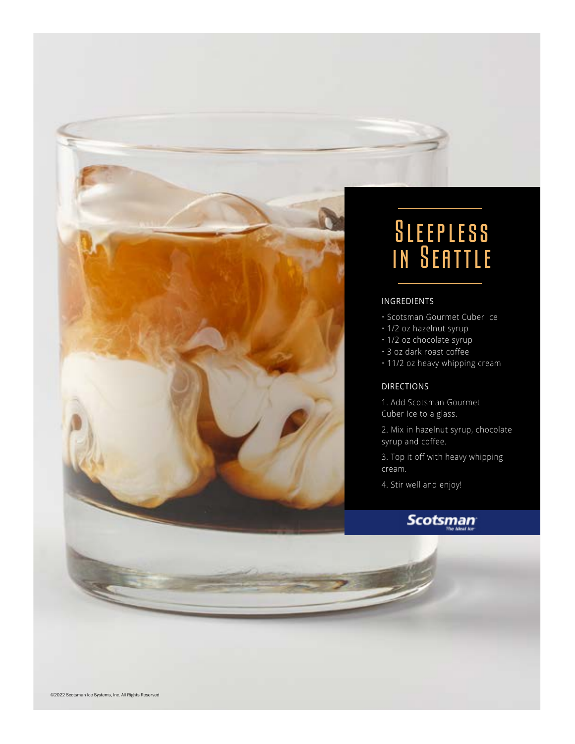

## Sleepless in Seattle

### INGREDIENTS

- Scotsman Gourmet Cuber Ice
- 1/2 oz hazelnut syrup
- 1/2 oz chocolate syrup
- 3 oz dark roast coffee
- 11/2 oz heavy whipping cream

### DIRECTIONS

- 1. Add Scotsman Gourmet Cuber Ice to a glass.
- 2. Mix in hazelnut syrup, chocolate syrup and coffee.
- 3. Top it off with heavy whipping cream.
- 4. Stir well and enjoy!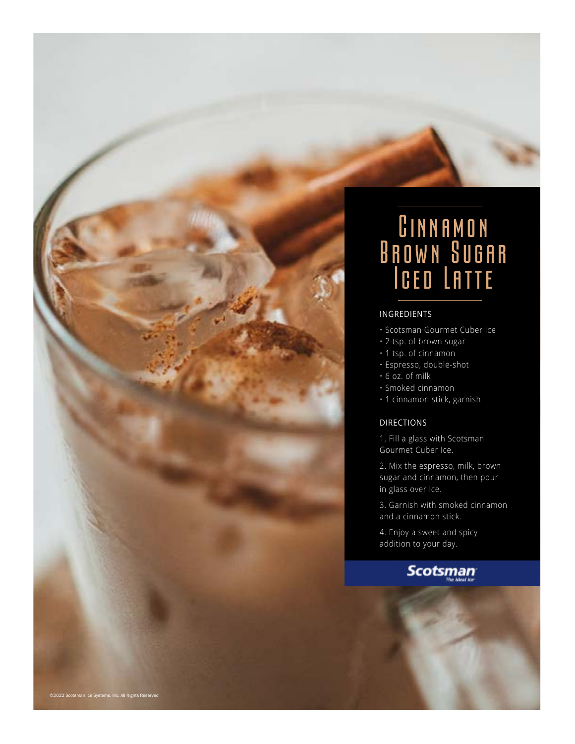

## Cinnamon Brown Sugar Iced Latte

### INGREDIENTS

- Scotsman Gourmet Cuber Ice
- 2 tsp. of brown sugar
- 1 tsp. of cinnamon
- Espresso, double-shot
- 6 oz. of milk
- Smoked cinnamon
- 1 cinnamon stick, garnish

### DIRECTIONS

1. Fill a glass with Scotsman Gourmet Cuber Ice.

2. Mix the espresso, milk, brown sugar and cinnamon, then pour in glass over ice.

3. Garnish with smoked cinnamon and a cinnamon stick.

4. Enjoy a sweet and spicy addition to your day.

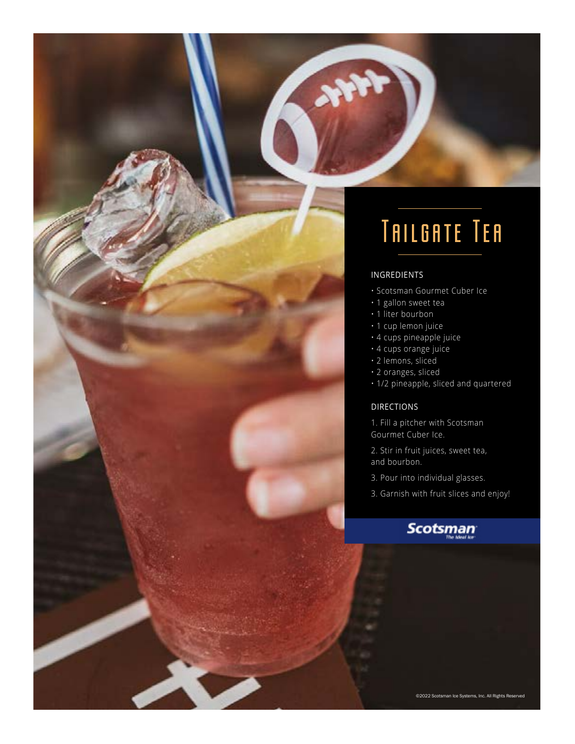# Tailgate Tea

### INGREDIENTS

- Scotsman Gourmet Cuber Ice
- 1 gallon sweet tea
- 1 liter bourbon
- 1 cup lemon juice
- 4 cups pineapple juice
- 4 cups orange juice
- 2 lemons, sliced
- 2 oranges, sliced
- 1/2 pineapple, sliced and quartered

### DIRECTIONS

1. Fill a pitcher with Scotsman Gourmet Cuber Ice.

- 2. Stir in fruit juices, sweet tea, and bourbon.
- 3. Pour into individual glasses.
- 3. Garnish with fruit slices and enjoy!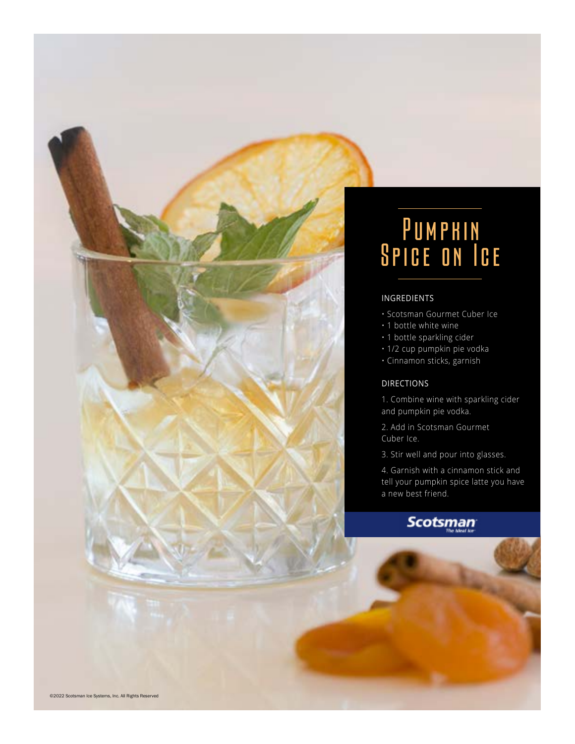

## PUMPHIN Spice on Ice

### INGREDIENTS

- Scotsman Gourmet Cuber Ice
- 1 bottle white wine
- 1 bottle sparkling cider
- 1/2 cup pumpkin pie vodka
- Cinnamon sticks, garnish

### DIRECTIONS

1. Combine wine with sparkling cider and pumpkin pie vodka.

2. Add in Scotsman Gourmet Cuber Ice.

3. Stir well and pour into glasses.

4. Garnish with a cinnamon stick and tell your pumpkin spice latte you have a new best friend.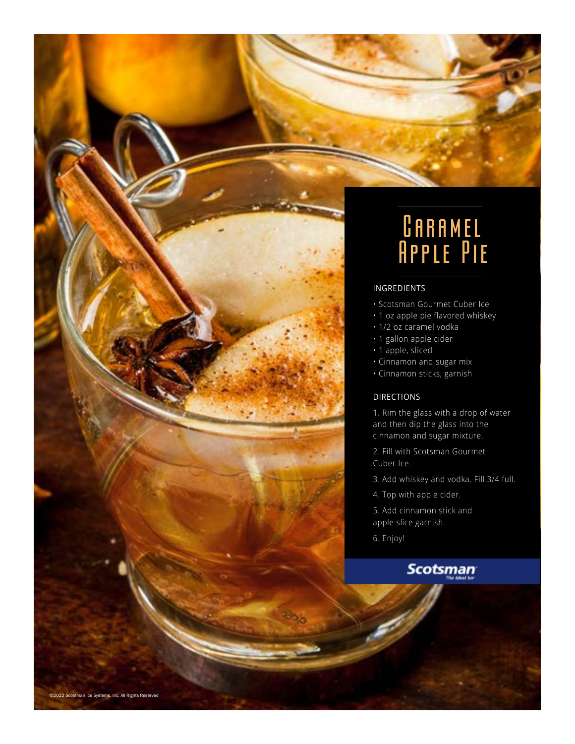

## $0$ ARAMEL Apple Pie

### INGREDIENTS

- Scotsman Gourmet Cuber Ice
- 1 oz apple pie flavored whiskey
- 1/2 oz caramel vodka
- 1 gallon apple cider
- 1 apple, sliced
- Cinnamon and sugar mix
- Cinnamon sticks, garnish

### DIRECTIONS

1. Rim the glass with a drop of water and then dip the glass into the cinnamon and sugar mixture.

2. Fill with Scotsman Gourmet Cuber Ice.

- 3. Add whiskey and vodka. Fill 3/4 full.
- 4. Top with apple cider.

5. Add cinnamon stick and apple slice garnish.

6. Enjoy!